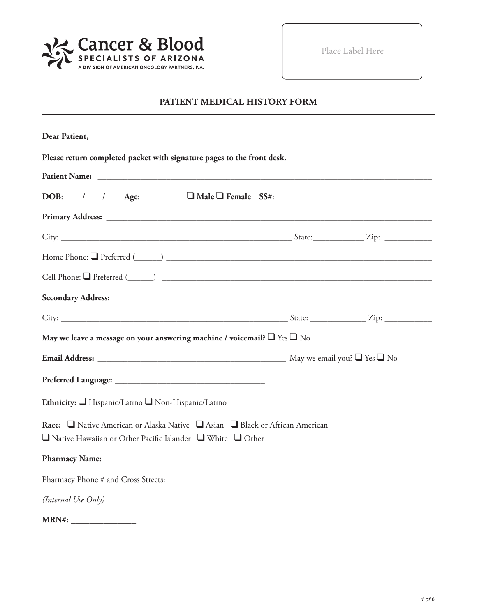

Place Label Here

# **PATIENT MEDICAL HISTORY FORM**

| Dear Patient,                                                                                                                                |  |
|----------------------------------------------------------------------------------------------------------------------------------------------|--|
| Please return completed packet with signature pages to the front desk.                                                                       |  |
|                                                                                                                                              |  |
| $DOB:$ $\_\_\_\_\_\_\_\_\_\_\_\_\_\_$ Age: $\_\_\_\_\_\_\_\_\_\_\_\_\_\_\_\_\_\_$ Female $SS#:$ $\_\_\_\_\_\_\_\_\_\_\_\_\_\_\_\_\_\_\_\_\_$ |  |
|                                                                                                                                              |  |
|                                                                                                                                              |  |
|                                                                                                                                              |  |
| Cell Phone: Q Preferred (COMETA COMETA CONTROL)                                                                                              |  |
|                                                                                                                                              |  |
|                                                                                                                                              |  |
| May we leave a message on your answering machine / voicemail? $\Box$ Yes $\Box$ No                                                           |  |
|                                                                                                                                              |  |
|                                                                                                                                              |  |
| Ethnicity: I Hispanic/Latino I Non-Hispanic/Latino                                                                                           |  |
| Race: □ Native American or Alaska Native □ Asian □ Black or African American                                                                 |  |
| $\Box$ Native Hawaiian or Other Pacific Islander $\Box$ White $\Box$ Other                                                                   |  |
|                                                                                                                                              |  |
|                                                                                                                                              |  |
| (Internal Use Only)                                                                                                                          |  |
| MRN#:                                                                                                                                        |  |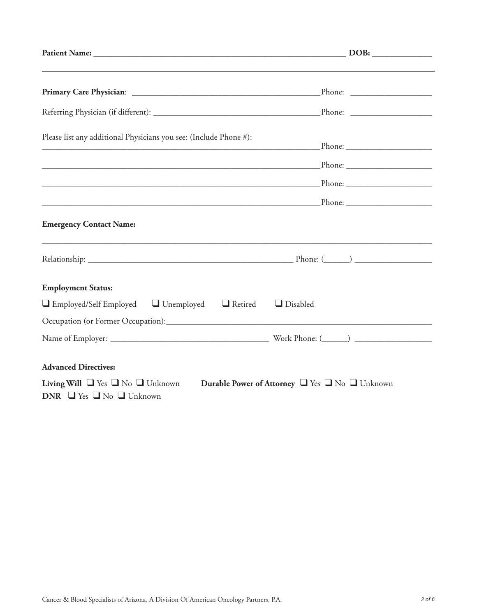| Please list any additional Physicians you see: (Include Phone #):                                                                                 |  |
|---------------------------------------------------------------------------------------------------------------------------------------------------|--|
|                                                                                                                                                   |  |
|                                                                                                                                                   |  |
|                                                                                                                                                   |  |
| <b>Emergency Contact Name:</b>                                                                                                                    |  |
|                                                                                                                                                   |  |
| <b>Employment Status:</b>                                                                                                                         |  |
| $\Box$ Employed/Self Employed $\Box$ Unemployed $\Box$ Retired<br>$\Box$ Disabled                                                                 |  |
|                                                                                                                                                   |  |
|                                                                                                                                                   |  |
| <b>Advanced Directives:</b>                                                                                                                       |  |
| <b>Living Will</b> $\Box$ Yes $\Box$ No $\Box$ Unknown<br>Durable Power of Attorney U Yes U No Unknown<br>DNR $\Box$ Yes $\Box$ No $\Box$ Unknown |  |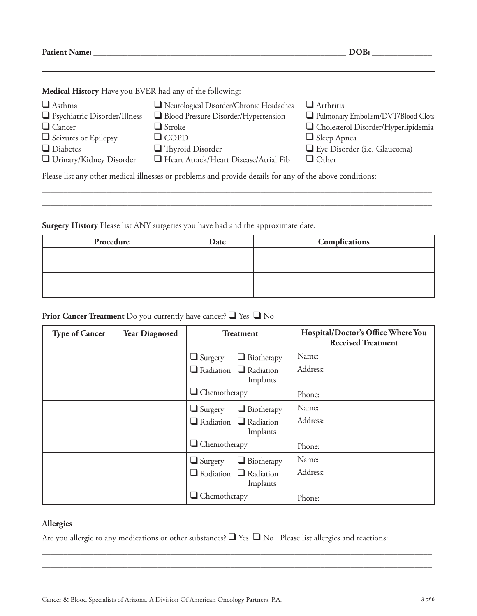**Patient Name: \_\_\_\_\_\_\_\_\_\_\_\_\_\_\_\_\_\_\_\_\_\_\_\_\_\_\_\_\_\_\_\_\_\_\_\_\_\_\_\_\_\_\_\_\_\_\_\_\_\_\_\_\_\_\_\_\_\_\_ DOB: \_\_\_\_\_\_\_\_\_\_\_\_\_\_**

**Medical History** Have you EVER had any of the following:

| $\Box$ Asthma                                                                                            | Neurological Disorder/Chronic Headaches | $\Box$ Arthritis                      |  |
|----------------------------------------------------------------------------------------------------------|-----------------------------------------|---------------------------------------|--|
| $\Box$ Psychiatric Disorder/Illness                                                                      | Blood Pressure Disorder/Hypertension    | Pulmonary Embolism/DVT/Blood Clots    |  |
| $\Box$ Cancer                                                                                            | $\Box$ Stroke                           | □ Cholesterol Disorder/Hyperlipidemia |  |
| $\Box$ Seizures or Epilepsy                                                                              | $\Box$ COPD                             | $\Box$ Sleep Apnea                    |  |
| $\Box$ Diabetes                                                                                          | $\Box$ Thyroid Disorder                 | Eye Disorder (i.e. Glaucoma)          |  |
| $\Box$ Urinary/Kidney Disorder                                                                           | Heart Attack/Heart Disease/Atrial Fib   | $\Box$ Other                          |  |
| Please list any other medical illnesses or problems and provide details for any of the above conditions: |                                         |                                       |  |

\_\_\_\_\_\_\_\_\_\_\_\_\_\_\_\_\_\_\_\_\_\_\_\_\_\_\_\_\_\_\_\_\_\_\_\_\_\_\_\_\_\_\_\_\_\_\_\_\_\_\_\_\_\_\_\_\_\_\_\_\_\_\_\_\_\_\_\_\_\_\_\_\_\_\_\_\_\_\_\_\_\_\_\_\_\_\_\_\_\_\_ \_\_\_\_\_\_\_\_\_\_\_\_\_\_\_\_\_\_\_\_\_\_\_\_\_\_\_\_\_\_\_\_\_\_\_\_\_\_\_\_\_\_\_\_\_\_\_\_\_\_\_\_\_\_\_\_\_\_\_\_\_\_\_\_\_\_\_\_\_\_\_\_\_\_\_\_\_\_\_\_\_\_\_\_\_\_\_\_\_\_\_

**Surgery History** Please list ANY surgeries you have had and the approximate date.

| Procedure | Date | Complications |
|-----------|------|---------------|
|           |      |               |
|           |      |               |
|           |      |               |
|           |      |               |

## **Prior Cancer Treatment** Do you currently have cancer? ❑ Yes ❑ No

| <b>Type of Cancer</b> | <b>Year Diagnosed</b> | <b>Treatment</b>                              | Hospital/Doctor's Office Where You<br><b>Received Treatment</b> |
|-----------------------|-----------------------|-----------------------------------------------|-----------------------------------------------------------------|
|                       |                       | $\Box$ Biotherapy<br>$\Box$ Surgery           | Name:                                                           |
|                       |                       | $\Box$ Radiation $\Box$ Radiation<br>Implants | Address:                                                        |
|                       |                       | $\Box$ Chemotherapy                           | Phone:                                                          |
|                       |                       | $\Box$ Biotherapy<br>$\Box$ Surgery           | Name:                                                           |
|                       |                       | $\Box$ Radiation $\Box$ Radiation<br>Implants | Address:                                                        |
|                       |                       | $\Box$ Chemotherapy                           | Phone:                                                          |
|                       |                       | $\Box$ Biotherapy<br>$\Box$ Surgery           | Name:                                                           |
|                       |                       | $\Box$ Radiation $\Box$ Radiation<br>Implants | Address:                                                        |
|                       |                       | $\Box$ Chemotherapy                           | Phone:                                                          |

### **Allergies**

Are you allergic to any medications or other substances? ❑ Yes ❑ No Please list allergies and reactions:

\_\_\_\_\_\_\_\_\_\_\_\_\_\_\_\_\_\_\_\_\_\_\_\_\_\_\_\_\_\_\_\_\_\_\_\_\_\_\_\_\_\_\_\_\_\_\_\_\_\_\_\_\_\_\_\_\_\_\_\_\_\_\_\_\_\_\_\_\_\_\_\_\_\_\_\_\_\_\_\_\_\_\_\_\_\_\_\_\_\_\_ \_\_\_\_\_\_\_\_\_\_\_\_\_\_\_\_\_\_\_\_\_\_\_\_\_\_\_\_\_\_\_\_\_\_\_\_\_\_\_\_\_\_\_\_\_\_\_\_\_\_\_\_\_\_\_\_\_\_\_\_\_\_\_\_\_\_\_\_\_\_\_\_\_\_\_\_\_\_\_\_\_\_\_\_\_\_\_\_\_\_\_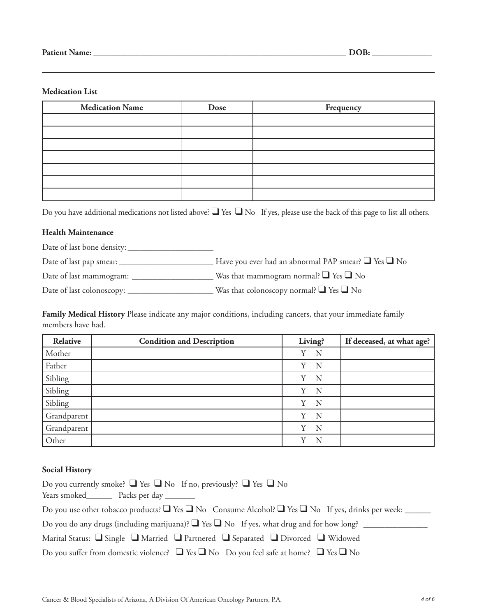#### **Medication List**

| <b>Medication Name</b> | Dose | Frequency |
|------------------------|------|-----------|
|                        |      |           |
|                        |      |           |
|                        |      |           |
|                        |      |           |
|                        |      |           |
|                        |      |           |
|                        |      |           |

Do you have additional medications not listed above? ■ Yes ■ No If yes, please use the back of this page to list all others.

#### **Health Maintenance**

Date of last bone density: \_\_\_\_\_\_\_\_\_\_\_\_\_\_\_\_\_\_\_\_

Date of last pap smear: \_\_\_\_\_\_\_\_\_\_\_\_\_\_\_\_\_\_\_\_\_\_ Have you ever had an abnormal PAP smear? ❑ Yes ❑ No

Date of last mammogram: \_\_\_\_\_\_\_\_\_\_\_\_\_\_\_\_\_\_\_ Was that mammogram normal? ❑ Yes ❑ No

Date of last colonoscopy: \_\_\_\_\_\_\_\_\_\_\_\_\_\_\_\_\_\_\_\_ Was that colonoscopy normal? ❑ Yes ❑ No

**Family Medical History** Please indicate any major conditions, including cancers, that your immediate family members have had.

| Relative    | <b>Condition and Description</b> | Living? | If deceased, at what age? |
|-------------|----------------------------------|---------|---------------------------|
| Mother      |                                  | Y<br>N  |                           |
| Father      |                                  | Y<br>N  |                           |
| Sibling     |                                  | Y<br>N  |                           |
| Sibling     |                                  | Y<br>N  |                           |
| Sibling     |                                  | N<br>Y  |                           |
| Grandparent |                                  | Y<br>N  |                           |
| Grandparent |                                  | Y<br>N  |                           |
| Other       |                                  | Y<br>N  |                           |

#### **Social History**

| Do you currently smoke? $\Box$ Yes $\Box$ No If no, previously? $\Box$ Yes $\Box$ No<br>Years smoked Packs per day     |
|------------------------------------------------------------------------------------------------------------------------|
| Do you use other tobacco products? $\Box$ Yes $\Box$ No Consume Alcohol? $\Box$ Yes $\Box$ No If yes, drinks per week: |
| Do you do any drugs (including marijuana)? $\Box$ Yes $\Box$ No If yes, what drug and for how long?                    |
| Marital Status: $\Box$ Single $\Box$ Married $\Box$ Partnered $\Box$ Separated $\Box$ Divorced $\Box$ Widowed          |
| Do you suffer from domestic violence? $\Box$ Yes $\Box$ No Do you feel safe at home? $\Box$ Yes $\Box$ No              |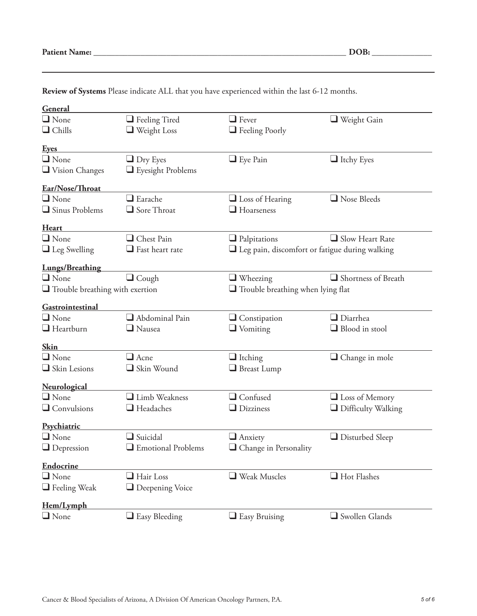| <b>Patient Name:</b> |  |
|----------------------|--|
|----------------------|--|

| General                     |                                                                                    |                                                          |                           |
|-----------------------------|------------------------------------------------------------------------------------|----------------------------------------------------------|---------------------------|
| $\Box$ None                 | $\Box$ Feeling Tired                                                               | $\Box$ Fever                                             | $\Box$ Weight Gain        |
| $\Box$ Chills               | $\Box$ Weight Loss                                                                 | Feeling Poorly                                           |                           |
|                             |                                                                                    |                                                          |                           |
| <b>Eyes</b>                 |                                                                                    |                                                          |                           |
| $\Box$ None                 | $\Box$ Dry Eyes                                                                    | $\Box$ Eye Pain                                          | $\Box$ Itchy Eyes         |
| $\Box$ Vision Changes       | Eyesight Problems                                                                  |                                                          |                           |
| Ear/Nose/Throat             |                                                                                    |                                                          |                           |
| $\Box$ None                 | $\Box$ Earache                                                                     | $\Box$ Loss of Hearing                                   | $\Box$ Nose Bleeds        |
| $\Box$ Sinus Problems       | Sore Throat                                                                        | $\Box$ Hoarseness                                        |                           |
|                             |                                                                                    |                                                          |                           |
| <b>Heart</b><br>$\Box$ None | Chest Pain                                                                         |                                                          | $\Box$ Slow Heart Rate    |
|                             | $\Box$ Fast heart rate                                                             | $\Box$ Palpitations                                      |                           |
| $\Box$ Leg Swelling         |                                                                                    | $\square$ Leg pain, discomfort or fatigue during walking |                           |
| <b>Lungs/Breathing</b>      |                                                                                    |                                                          |                           |
| $\Box$ None                 | $\Box$ Cough                                                                       | $\Box$ Wheezing                                          | Shortness of Breath       |
|                             | $\Box$ Trouble breathing with exertion<br>$\Box$ Trouble breathing when lying flat |                                                          |                           |
| Gastrointestinal            |                                                                                    |                                                          |                           |
| $\Box$ None                 | Abdominal Pain                                                                     | $\Box$ Constipation                                      | $\Box$ Diarrhea           |
| $\Box$ Heartburn            | $\Box$ Nausea                                                                      | $\Box$ Vomiting                                          | Blood in stool            |
|                             |                                                                                    |                                                          |                           |
| <b>Skin</b>                 |                                                                                    |                                                          |                           |
| $\Box$ None                 | $\Box$ Acne                                                                        | $\Box$ Itching                                           | $\Box$ Change in mole     |
| Skin Lesions                | Skin Wound                                                                         | $\Box$ Breast Lump                                       |                           |
| Neurological                |                                                                                    |                                                          |                           |
| $\Box$ None                 | Limb Weakness                                                                      | $\Box$ Confused                                          | $\Box$ Loss of Memory     |
| $\Box$ Convulsions          | $\Box$ Headaches                                                                   | $\Box$ Dizziness                                         | $\Box$ Difficulty Walking |
|                             |                                                                                    |                                                          |                           |
| Psychiatric                 |                                                                                    |                                                          |                           |
| $\Box$ None                 | $\Box$ Suicidal                                                                    | $\Box$ Anxiety                                           | $\Box$ Disturbed Sleep    |
| $\Box$ Depression           | $\hfill\blacksquare$<br>Emotional Problems                                         | $\hfill\Box$<br>Change in Personality                    |                           |
| <b>Endocrine</b>            |                                                                                    |                                                          |                           |
| $\Box$ None                 | $\Box$ Hair Loss                                                                   | Weak Muscles                                             | $\Box$ Hot Flashes        |
| $\Box$ Feeling Weak         | <b>Q</b> Deepening Voice                                                           |                                                          |                           |
|                             |                                                                                    |                                                          |                           |
| Hem/Lymph                   |                                                                                    |                                                          |                           |
| $\Box$ None                 | $\Box$ Easy Bleeding                                                               | $\Box$ Easy Bruising                                     | Swollen Glands            |

**Review of Systems** Please indicate ALL that you have experienced within the last 6-12 months.